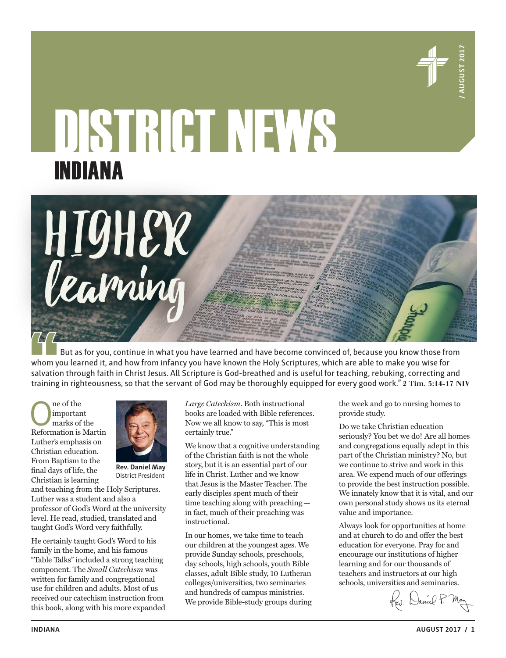

# DISTRICT NEWS **INDIANA**<br> **ALGAMING**<br> **CEALMING**<br> **CEALMING**<br> **CEALMING**<br> **CEALMING**<br> **CEALMING** INDIANA

But as for you, continue in what you have learned and have become convinced of, because you know those from whom you learned it, and how from infancy you have known the Holy Scriptures, which are able to make you wise for salvation through faith in Christ Jesus. All Scripture is God-breathed and is useful for teaching, rebuking, correcting and training in righteousness, so that the servant of God may be thoroughly equipped for every good work." **2 Tim. 3:14-17 NIV**

One of the Reformation is Martin important marks of the Luther's emphasis on Christian education. From Baptism to the final days of life, the Christian is learning



HIGHER

learning

**Rev. Daniel May** District President

and teaching from the Holy Scriptures. Luther was a student and also a professor of God's Word at the university level. He read, studied, translated and taught God's Word very faithfully.

He certainly taught God's Word to his family in the home, and his famous "Table Talks" included a strong teaching component. The *Small Catechism* was written for family and congregational use for children and adults. Most of us received our catechism instruction from this book, along with his more expanded *Large Catechism*. Both instructional books are loaded with Bible references. Now we all know to say, "This is most certainly true."

We know that a cognitive understanding of the Christian faith is not the whole story, but it is an essential part of our life in Christ. Luther and we know that Jesus is the Master Teacher. The early disciples spent much of their time teaching along with preaching in fact, much of their preaching was instructional.

In our homes, we take time to teach our children at the youngest ages. We provide Sunday schools, preschools, day schools, high schools, youth Bible classes, adult Bible study, 10 Lutheran colleges/universities, two seminaries and hundreds of campus ministries. We provide Bible-study groups during the week and go to nursing homes to provide study.

Do we take Christian education seriously? You bet we do! Are all homes and congregations equally adept in this part of the Christian ministry? No, but we continue to strive and work in this area. We expend much of our offerings to provide the best instruction possible. We innately know that it is vital, and our own personal study shows us its eternal value and importance.

Always look for opportunities at home and at church to do and offer the best education for everyone. Pray for and encourage our institutions of higher learning and for our thousands of teachers and instructors at our high schools, universities and seminaries.

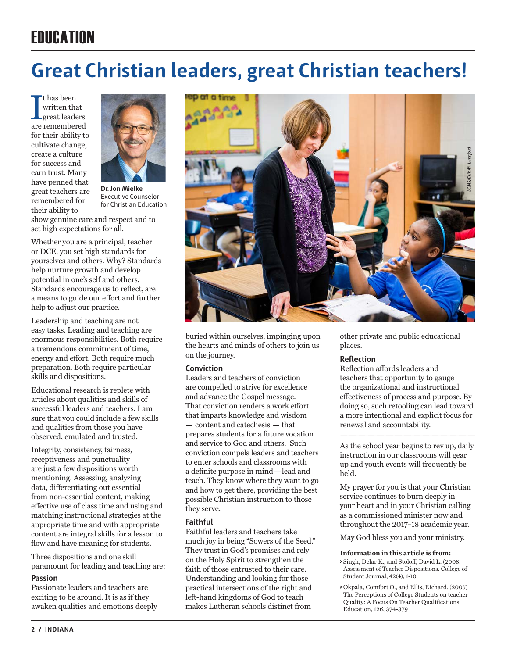# **FRIICATION**

# **Great Christian leaders, great Christian teachers!**

 $\fbox{\parbox{1.5cm}{ \begin{tabular}{cc} \bf{tr} has been \cr written that \cr great leaders \cr are remembered \end{tabular}} }$ t has been written that great leaders for their ability to cultivate change, create a culture for success and earn trust. Many have penned that great teachers are remembered for their ability to



**Dr. Jon Mielke**  Executive Counselor for Christian Education

show genuine care and respect and to set high expectations for all.

Whether you are a principal, teacher or DCE, you set high standards for yourselves and others. Why? Standards help nurture growth and develop potential in one's self and others. Standards encourage us to reflect, are a means to guide our effort and further help to adjust our practice.

Leadership and teaching are not easy tasks. Leading and teaching are enormous responsibilities. Both require a tremendous commitment of time, energy and effort. Both require much preparation. Both require particular skills and dispositions.

Educational research is replete with articles about qualities and skills of successful leaders and teachers. I am sure that you could include a few skills and qualities from those you have observed, emulated and trusted.

Integrity, consistency, fairness, receptiveness and punctuality are just a few dispositions worth mentioning. Assessing, analyzing data, differentiating out essential from non-essential content, making effective use of class time and using and matching instructional strategies at the appropriate time and with appropriate content are integral skills for a lesson to flow and have meaning for students.

Three dispositions and one skill paramount for leading and teaching are:

# **Passion**

Passionate leaders and teachers are exciting to be around. It is as if they awaken qualities and emotions deeply



buried within ourselves, impinging upon the hearts and minds of others to join us on the journey.

# **Conviction**

Leaders and teachers of conviction are compelled to strive for excellence and advance the Gospel message. That conviction renders a work effort that imparts knowledge and wisdom — content and catechesis — that prepares students for a future vocation and service to God and others. Such conviction compels leaders and teachers to enter schools and classrooms with a definite purpose in mind—lead and teach. They know where they want to go and how to get there, providing the best possible Christian instruction to those they serve.

# **Faithful**

Faithful leaders and teachers take much joy in being "Sowers of the Seed." They trust in God's promises and rely on the Holy Spirit to strengthen the faith of those entrusted to their care. Understanding and looking for those practical intersections of the right and left-hand kingdoms of God to teach makes Lutheran schools distinct from

other private and public educational places.

# **Reflection**

Reflection affords leaders and teachers that opportunity to gauge the organizational and instructional effectiveness of process and purpose. By doing so, such retooling can lead toward a more intentional and explicit focus for renewal and accountability.

As the school year begins to rev up, daily instruction in our classrooms will gear up and youth events will frequently be held.

My prayer for you is that your Christian service continues to burn deeply in your heart and in your Christian calling as a commissioned minister now and throughout the 2017–18 academic year.

May God bless you and your ministry.

### **Information in this article is from:**

- **>** Singh, Delar K., and Stoloff, David L. (2008. Assessment of Teacher Dispositions. College of Student Journal, 42(4), 1-10.
- **>** Okpala, Comfort O., and Ellis, Richard. (2005) The Perceptions of College Students on teacher Quality: A Focus On Teacher Qualifications. Education, 126, 374-379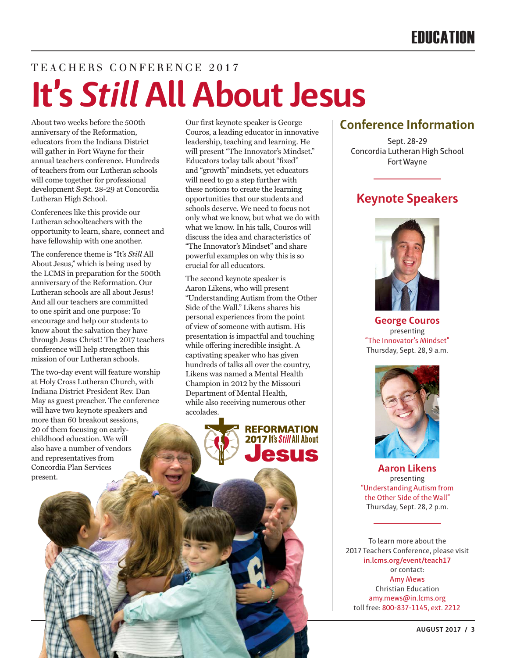# TEACHERS CONFERENCE 2017 **It's** *Still* **All About Jesus**

About two weeks before the 500th anniversary of the Reformation, educators from the Indiana District will gather in Fort Wayne for their annual teachers conference. Hundreds of teachers from our Lutheran schools will come together for professional development Sept. 28-29 at Concordia Lutheran High School.

Conferences like this provide our Lutheran schoolteachers with the opportunity to learn, share, connect and have fellowship with one another.

The conference theme is "It's *Still* All About Jesus," which is being used by the LCMS in preparation for the 500th anniversary of the Reformation. Our Lutheran schools are all about Jesus! And all our teachers are committed to one spirit and one purpose: To encourage and help our students to know about the salvation they have through Jesus Christ! The 2017 teachers conference will help strengthen this mission of our Lutheran schools.

The two-day event will feature worship at Holy Cross Lutheran Church, with Indiana District President Rev. Dan May as guest preacher. The conference will have two keynote speakers and more than 60 breakout sessions, 20 of them focusing on earlychildhood education. We will also have a number of vendors and representatives from Concordia Plan Services present.

Our first keynote speaker is George Couros, a leading educator in innovative leadership, teaching and learning. He will present "The Innovator's Mindset." Educators today talk about "fixed" and "growth" mindsets, yet educators will need to go a step further with these notions to create the learning opportunities that our students and schools deserve. We need to focus not only what we know, but what we do with what we know. In his talk, Couros will discuss the idea and characteristics of "The Innovator's Mindset" and share powerful examples on why this is so crucial for all educators.

The second keynote speaker is Aaron Likens, who will present "Understanding Autism from the Other Side of the Wall." Likens shares his personal experiences from the point of view of someone with autism. His presentation is impactful and touching while offering incredible insight. A captivating speaker who has given hundreds of talks all over the country, Likens was named a Mental Health Champion in 2012 by the Missouri Department of Mental Health, while also receiving numerous other accolades.



# **Conference Information**

Sept. 28-29 Concordia Lutheran High School Fort Wayne

# **Keynote Speakers**



**George Couros** presenting "The Innovator's Mindset" Thursday, Sept. 28, 9 a.m.



**Aaron Likens** presenting "Understanding Autism from the Other Side of the Wall" Thursday, Sept. 28, 2 p.m.

To learn more about the 2017 Teachers Conference, please visit **in.lcms.org/event/teach17** or contact: Amy Mews Christian Education amy.mews@in.lcms.org toll free: 800-837-1145, ext. 2212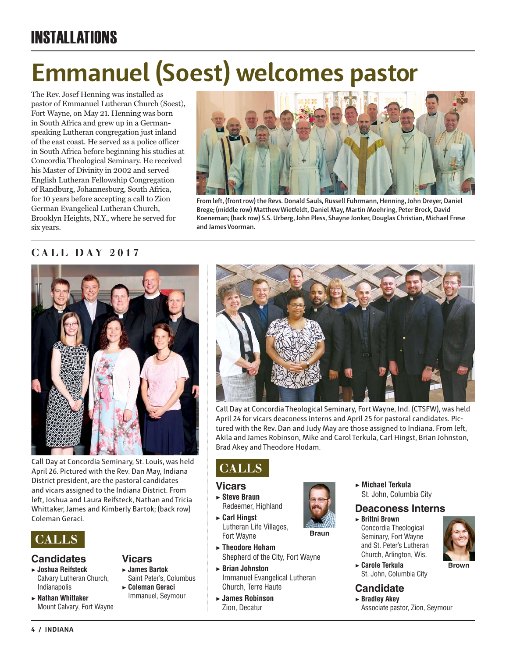# INSTALLATIONS

# **Emmanuel (Soest) welcomes pastor**

The Rev. Josef Henning was installed as pastor of Emmanuel Lutheran Church (Soest), Fort Wayne, on May 21. Henning was born in South Africa and grew up in a Germanspeaking Lutheran congregation just inland of the east coast. He served as a police officer in South Africa before beginning his studies at Concordia Theological Seminary. He received his Master of Divinity in 2002 and served English Lutheran Fellowship Congregation of Randburg, Johannesburg, South Africa, for 10 years before accepting a call to Zion German Evangelical Lutheran Church, Brooklyn Heights, N.Y., where he served for six years.



**From left, (front row) the Revs. Donald Sauls, Russell Fuhrmann, Henning, John Dreyer, Daniel Brege; (middle row) Matthew Wietfeldt, Daniel May, Martin Moehring, Peter Brock, David Koeneman; (back row) S.S. Urberg, John Pless, Shayne Jonker, Douglas Christian, Michael Frese and James Voorman.**

# **CALL DAY 2017**



Call Day at Concordia Seminary, St. Louis, was held April 26. Pictured with the Rev. Dan May, Indiana District president, are the pastoral candidates and vicars assigned to the Indiana District. From left, Joshua and Laura Reifsteck, Nathan and Tricia Whittaker, James and Kimberly Bartok; (back row) Coleman Geraci.



# **Candidates**

- ▶ **Joshua Reifsteck** Calvary Lutheran Church, Indianapolis
- ▶ **Nathan Whittaker** Mount Calvary, Fort Wayne

# **Vicars** ▶ **James Bartok**

- Saint Peter's, Columbus ▶ **Coleman Geraci**
- Immanuel, Seymour



Call Day at Concordia Theological Seminary, Fort Wayne, Ind. (CTSFW), was held April 24 for vicars deaconess interns and April 25 for pastoral candidates. Pictured with the Rev. Dan and Judy May are those assigned to Indiana. From left, Akila and James Robinson, Mike and Carol Terkula, Carl Hingst, Brian Johnston, Brad Akey and Theodore Hodam.

**Braun**

# **CALLS**

# **Vicars**

- ▶ **Steve Braun** Redeemer, Highland
- ▶ **Carl Hingst** Lutheran Life Villages, Fort Wayne
- ▶ **Theodore Hoham** Shepherd of the City, Fort Wayne
- ▶ **Brian Johnston** Immanuel Evangelical Lutheran Church, Terre Haute
- ▶ **James Robinson** Zion, Decatur

▶ **Michael Terkula** St. John, Columbia City

# **Deaconess Interns**

▶ **Brittni Brown** Concordia Theological Seminary, Fort Wayne and St. Peter's Lutheran Church, Arlington, Wis.



▶ **Carole Terkula** St. John, Columbia City

# **Candidate**

▶ **Bradley Akey** Associate pastor, Zion, Seymour

**4 / INDIANA**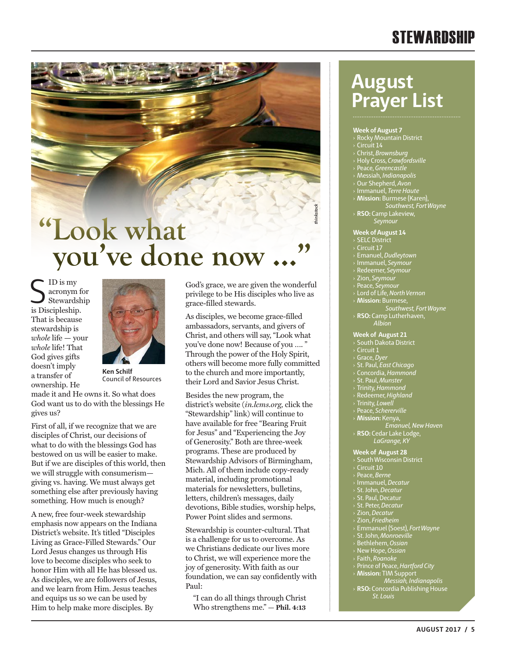# **STEWARDSHIP**

# **"Look what you've done now**

 $\sum_{\substack{\text{Stewards} \\ \text{is Discipleship.}} }$ acronym for Stewardship That is because stewardship is *whole* life — your *whole* life! That God gives gifts doesn't imply a transfer of ownership. He



**Ken Schilf** Council of Resources

made it and He owns it. So what does God want us to do with the blessings He gives us?

First of all, if we recognize that we are disciples of Christ, our decisions of what to do with the blessings God has bestowed on us will be easier to make. But if we are disciples of this world, then we will struggle with consumerism giving vs. having. We must always get something else after previously having something. How much is enough?

A new, free four-week stewardship emphasis now appears on the Indiana District's website. It's titled "Disciples Living as Grace-Filled Stewards." Our Lord Jesus changes us through His love to become disciples who seek to honor Him with all He has blessed us. As disciples, we are followers of Jesus, and we learn from Him. Jesus teaches and equips us so we can be used by Him to help make more disciples. By

God's grace, we are given the wonderful privilege to be His disciples who live as grace-filled stewards.

As disciples, we become grace-filled ambassadors, servants, and givers of Christ, and others will say, "Look what you've done now! Because of you …. " Through the power of the Holy Spirit, others will become more fully committed to the church and more importantly, their Lord and Savior Jesus Christ.

Besides the new program, the district's website (*in.lcms.org,* click the "Stewardship" link) will continue to have available for free "Bearing Fruit for Jesus" and "Experiencing the Joy of Generosity." Both are three-week programs. These are produced by Stewardship Advisors of Birmingham, Mich. All of them include copy-ready material, including promotional materials for newsletters, bulletins, letters, children's messages, daily devotions, Bible studies, worship helps, Power Point slides and sermons.

Stewardship is counter-cultural. That is a challenge for us to overcome. As we Christians dedicate our lives more to Christ, we will experience more the joy of generosity. With faith as our foundation, we can say confidently with Paul:

"I can do all things through Christ Who strengthens me." **— Phil. 4:13**

# **August Prayer List**

### **Week of August 7**

- $\rightarrow$  Rocky Mountain District
- 
- › Christ, *Brownsburg*
- › Holy Cross, *Crawfordsville*
- › Peace, *Greencastle*
- › Messiah, *Indianapolis*
- › Our Shepherd, *Avon*
- › Immanuel, *Terre Haute*
- › **Mission:** Burmese (Karen),
- *Southwest, Fort Wayne* › **RSO:** Camp Lakeview,
- *Seymour*

### **Week of August 14**

› SELC District

*thinkstock*

- Circuit 17
- › Emanuel, *Dudleytown*
- › Immanuel, *Seymour*
- › Redeemer, *Seymour*
- › Zion, *Seymour*
- › Peace, *Seymour*
- › Lord of Life, *North Vernon* **Mission: Burmese**

*Southwest, Fort Wayne* › **RSO:** Camp Lutherhaven, *Albion*

### **Week of August 21**

- › South Dakota District
- Circuit 1
- › Grace, *Dyer*
- › St. Paul, *East Chicago*
- › Concordia, *Hammond*
- › St. Paul, *Munster*
- › Trinity, *Hammond*
- › Redeemer, *Highland*
- › Trinity, *Lowell*
- › Peace, *Schererville*
- › **Mission:** Kenya,
- *Emanuel, New Haven*
- › **RSO:** Cedar Lake Lodge,  *LaGrange, KY*

### **Week of August 28**

- $\rightarrow$  South Wisconsin District
- Circuit 10
- › Peace, *Berne*
- › Immanuel, *Decatur*
- › St. John, *Decatur*
- › St. Paul, Decatur
- › St. Peter, *Decatur*
- › Zion, *Decatur*
- › Zion, *Friedheim*
- › Emmanuel (Soest), *Fort Wayne*
- › St. John, *Monroeville*
- › Bethlehem, *Ossian*
- › New Hope, *Ossian*
- › Faith, *Roanoke*
- › Prince of Peace, *Hartford City* › **Mission:** TIM Support
	- *Messiah, Indianapolis*
- › **RSO:** Concordia Publishing House *St. Louis*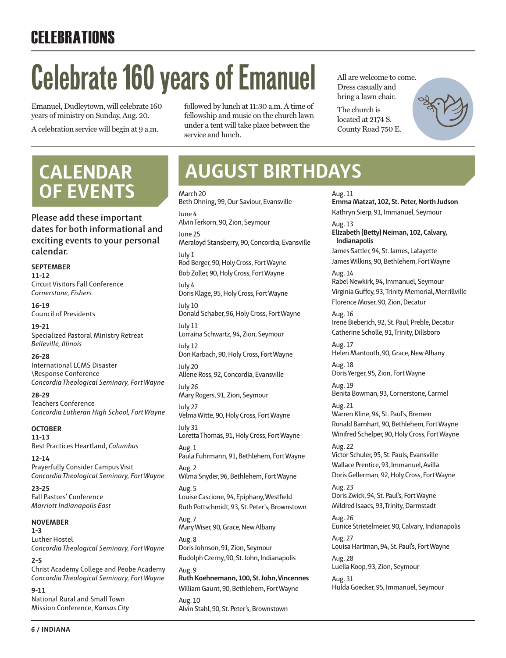# **CELEBRATIONS**

# **Celebrate 160 years of Emanuel**

Emanuel, Dudleytown, will celebrate 160 years of ministry on Sunday, Aug. 20. A celebration service will begin at 9 a.m.

followed by lunch at 11:30 a.m. A time of fellowship and music on the church lawn under a tent will take place between the service and lunch.

All are welcome to come. Dress casually and bring a lawn chair.

The church is located at 2174 S. County Road 750 E.

Aug. 11

# **OF EVENTS**

**Please add these important dates for both informational and exciting events to your personal calendar.**

**SEPTEMBER 11-12** Circuit Visitors Fall Conference *Cornerstone, Fishers*

**16-19** Council of Presidents

**19-21** Specialized Pastoral Ministry Retreat *Belleville, Illinois*

**26-28** International LCMS Disaster \Response Conference *Concordia Theological Seminary, Fort Wayne*

**28-29** Teachers Conference *Concordia Lutheran High School, Fort Wayne*

**OCTOBER 11-13** Best Practices Heartland, *Columbus*

**12-14** Prayerfully Consider Campus Visit *Concordia Theological Seminary, Fort Wayne*

**23-25** Fall Pastors' Conference *Marriott Indianapolis East*

# **NOVEMBER**

**1-3** Luther Hostel *Concordia Theological Seminary, Fort Wayne*

**2-5** Christ Academy College and Peobe Academy *Concordia Theological Seminary, Fort Wayne*

**9-11** National Rural and Small Town Mission Conference, *Kansas City*

# **CALENDAR AUGUST BIRTHDAYS**

March 20 Beth Ohning, 99, Our Saviour, Evansville June 4 Alvin Terkorn, 90, Zion, Seymour June 25 Meraloyd Stansberry, 90, Concordia, Evansville July 1 Rod Berger, 90, Holy Cross, Fort Wayne Bob Zoller, 90, Holy Cross, Fort Wayne July 4 Doris Klage, 95, Holy Cross, Fort Wayne July 10 Donald Schaber, 96, Holy Cross, Fort Wayne July 11 Lorraina Schwartz, 94, Zion, Seymour July 12 Don Karbach, 90, Holy Cross, Fort Wayne July 20 Allene Ross, 92, Concordia, Evansville July 26 Mary Rogers, 91, Zion, Seymour July 27 Velma Witte, 90, Holy Cross, Fort Wayne July 31 Loretta Thomas, 91, Holy Cross, Fort Wayne Aug. 1 Paula Fuhrmann, 91, Bethlehem, Fort Wayne Aug. 2 Wilma Snyder, 96, Bethlehem, Fort Wayne Aug. 5 Louise Cascione, 94, Epiphany, Westfield Ruth Pottschmidt, 93, St. Peter's, Brownstown Aug. 7 Mary Wiser, 90, Grace, New Albany Aug. 8 Doris Johnson, 91, Zion, Seymour Rudolph Czerny, 90, St. John, Indianapolis Aug. 9 **Ruth Koehnemann, 100, St. John, Vincennes** William Gaunt, 90, Bethlehem, Fort Wayne Aug. 10 Alvin Stahl, 90, St. Peter's, Brownstown

**Emma Matzat, 102, St. Peter, North Judson** Kathryn Sierp, 91, Immanuel, Seymour Aug. 13 **Elizabeth (Betty) Neiman, 102, Calvary, Indianapolis** James Sattler, 94, St. James, Lafayette James Wilkins, 90, Bethlehem, Fort Wayne Aug. 14 Rabel Newkirk, 94, Immanuel, Seymour Virginia Guffey, 93, Trinity Memorial, Merrillville Florence Moser, 90, Zion, Decatur Aug. 16 Irene Bieberich, 92, St. Paul, Preble, Decatur Catherine Scholle, 91, Trinity, Dillsboro Aug. 17 Helen Mantooth, 90, Grace, New Albany Aug. 18 Doris Yerger, 95, Zion, Fort Wayne Aug. 19 Benita Bowman, 93, Cornerstone, Carmel Aug. 21 Warren Kline, 94, St. Paul's, Bremen Ronald Barnhart, 90, Bethlehem, Fort Wayne Winifred Schelper, 90, Holy Cross, Fort Wayne Aug. 22 Victor Schuler, 95, St. Pauls, Evansville Wallace Prentice, 93, Immanuel, Avilla Doris Gellerman, 92, Holy Cross, Fort Wayne Aug. 23 Doris Zwick, 94, St. Paul's, Fort Wayne Mildred Isaacs, 93, Trinity, Darmstadt Aug. 26 Eunice Strietelmeier, 90, Calvary, Indianapolis Aug. 27 Louisa Hartman, 94, St. Paul's, Fort Wayne Aug. 28 Luella Koop, 93, Zion, Seymour Aug. 31 Hulda Goecker, 95, Immanuel, Seymour

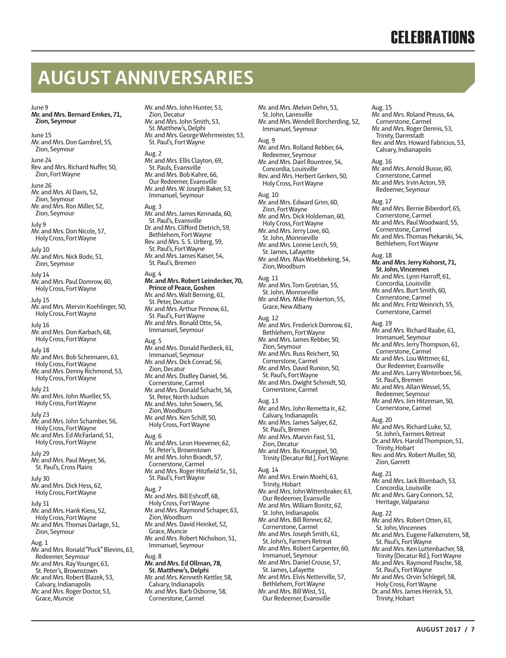# **AUGUST ANNIVERSARIES**

### June 9

**Mr. and Mrs. Bernard Emkes, 71, Zion, Seymour**

June 15 Mr. and Mrs. Don Gambrel, 55, Zion, Seymour

June 24 Rev. and Mrs. Richard Nuffer, 50, Zion, Fort Wayne

June 26 Mr. and Mrs. Al Davis, 52, Zion, Seymour Mr. and Mrs. Ron Miller, 52, Zion, Seymour

July 9 Mr. and Mrs. Don Nicole, 57, Holy Cross, Fort Wayne

July 10 Mr. and Mrs. Nick Bode, 51, Zion, Seymour

July 14 Mr. and Mrs. Paul Domrow, 60, Holy Cross, Fort Wayne

July 15 Mr. and Mrs. Mervin Koehlinger, 50, Holy Cross, Fort Wayne

July 16 Mr. and Mrs. Don Karbach, 68, Holy Cross, Fort Wayne

July 18 Mr. and Mrs. Bob Scheimann, 63, Holy Cross, Fort Wayne Mr. and Mrs. Denny Richmond, 53, Holy Cross, Fort Wayne July 21

Mr. and Mrs. John Mueller, 55, Holy Cross, Fort Wayne

July 23 Mr. and Mrs. John Schamber, 56, Holy Cross, Fort Wayne Mr. and Mrs. Ed McFarland, 51, Holy Cross, Fort Wayne

July 29 Mr. and Mrs. Paul Meyer, 56, St. Paul's, Cross Plains

July 30 Mr. and Mrs. Dick Hess, 62, Holy Cross, Fort Wayne

July 31 Mr. and Mrs. Hank Kiess, 52, Holy Cross, Fort Wayne Mr. and Mrs. Thomas Darlage, 51, Zion, Seymour

Aug. 1

Mr. and Mrs. Ronald "Puck" Blevins, 63, Redeemer, Seymour Mr. and Mrs. Ray Younger, 63, St. Peter's, Brownstown Mr. and Mrs. Robert Blazek, 53, Calvary, Indianapolis Mr. and Mrs. Roger Doctor, 53, Grace, Muncie

Mr. and Mrs. John Hunter, 53, Zion, Decatur Mr. and Mrs. John Smith, 53, St. Matthew's, Delphi Mr. and Mrs. George Wehrmeister, 53, St. Paul's, Fort Wayne Aug. 2 Mr. and Mrs. Ellis Clayton, 69, St. Pauls, Evansville Mr. and Mrs. Bob Kahre, 66, Our Redeemer, Evansville Mr. and Mrs. W. Joseph Baker, 53, Immanuel, Seymour Aug. 3 Mr. and Mrs. James Kennada, 60, St. Paul's, Evansville Dr. and Mrs. Clifford Dietrich, 59, Bethlehem, Fort Wayne Rev. and Mrs. S. S. Urberg, 59, St. Paul's, Fort Wayne Mr. and Mrs. James Kaiser, 54, St. Paul's, Bremen Aug. 4 **Mr. and Mrs. Robert Leindecker, 70, Prince of Peace, Goshen** Mr. and Mrs. Walt Berning, 61, St. Peter, Decatur Mr. and Mrs. Arthur Pinnow, 61, St. Paul's, Fort Wayne Mr. and Mrs. Ronald Otte, 54, Immanuel, Seymour Aug. 5 Mr. and Mrs. Donald Pardieck, 61, Immanuel, Seymour Mr. and Mrs. Dick Conrad, 56, Zion, Decatur

Mr. and Mrs. Dudley Daniel, 56, Cornerstone, Carmel Mr. and Mrs. Donald Schacht, 56, St. Peter, North Judson Mr. and Mrs. John Sowers, 56, Zion, Woodburn Mr. and Mrs. Ken Schilf, 50, Holy Cross, Fort Wayne

Aug. 6 Mr. and Mrs. Leon Hoevener, 62, St. Peter's, Brownstown Mr. and Mrs. John Brandt, 57, Cornerstone, Carmel Mr. and Mrs. Roger Hitzfield Sr., 51, St. Paul's, Fort Wayne

Aug. 7

Mr. and Mrs. Bill Eshcoff, 68, Holy Cross, Fort Wayne Mr. and Mrs. Raymond Schaper, 63, Zion, Woodburn Mr. and Mrs. David Heinkel, 52, Grace, Muncie Mr. and Mrs. Robert Nicholson, 51, Immanuel, Seymour Aug. 8 **Mr. and Mrs. Ed Ollman, 78, St. Matthew's, Delphi** Mr. and Mrs. Kenneth Kettler, 58,

Calvary, Indianapolis Mr. and Mrs. Barb Osborne, 58, Cornerstone, Carmel

St. John, Lanesville Mr. and Mrs. Wendell Borcherding, 52, Immanuel, Seymour Aug. 9 Mr. and Mrs. Rolland Rebber, 64, Redeemer, Seymour Mr. and Mrs. Dairl Rountree, 54, Concordia, Louisville Rev. and Mrs. Herbert Gerken, 50, Holy Cross, Fort Wayne Aug. 10 Mr. and Mrs. Edward Grim, 60, Zion, Fort Wayne Mr. and Mrs. Dick Holdeman, 60, Holy Cross, Fort Wayne Mr. and Mrs. Jerry Love, 60, St. John, Monroeville Mr. and Mrs. Lonnie Lerch, 59, St. James, Lafayette Mr. and Mrs. Max Woebbeking, 54,

Mr. and Mrs. Melvin Dehn, 53,

### Aug. 11

Zion, Woodburn

Mr. and Mrs. Tom Grotrian, 55, St. John, Monroeville Mr. and Mrs. Mike Pinkerton, 55, Grace, New Albany

### Aug. 12

Mr. and Mrs. Frederick Domrow, 61, Bethlehem, Fort Wayne Mr. and Mrs. James Rebber, 50, Zion, Seymour Mr. and Mrs. Russ Reichert, 50, Cornerstone, Carmel Mr. and Mrs. David Runion, 50, St. Paul's, Fort Wayne Mr. and Mrs. Dwight Schmidt, 50, Cornerstone, Carmel Aug. 13 Mr. and Mrs. John Remetta Jr., 62, Calvary, Indianapolis Mr. and Mrs. James Salyer, 62, St. Paul's, Bremen Mr. and Mrs. Marvin Fast, 51,

Zion, Decatur Mr. and Mrs. Bo Knueppel, 50, Trinity (Decatur Rd.), Fort Wayne.

# Aug. 14

Mr. and Mrs. Erwin Moehl, 63, Trinity, Hobart Mr. and Mrs. John Wittenbraker, 63, Our Redeemer, Evansville Mr. and Mrs. William Bonitz, 62, St. John, Indianapolis Mr. and Mrs. Bill Renner, 62, Cornerstone, Carmel Mr. and Mrs. Joseph Smith, 61, St. John's, Farmers Retreat Mr. and Mrs. Robert Carpenter, 60, Immanuel, Seymour Mr. and Mrs. Daniel Crouse, 57, St. James, Lafayette Mr. and Mrs. Elvis Netterville, 57, Bethlehem, Fort Wayne Mr. and Mrs. Bill Wiist, 51,

Our Redeemer, Evansville

### Aug. 15

Mr. and Mrs. Roland Preuss, 64, Cornerstone, Carmel Mr. and Mrs. Roger Dennis, 53, Trinity, Darmstadt Rev. and Mrs. Howard Fabricius, 53, Calvary, Indianapolis

Aug. 16 Mr. and Mrs. Arnold Busse, 60, Cornerstone, Carmel Mr. and Mrs. Irvin Acton, 59, Redeemer, Seymour

Aug. 17 Mr. and Mrs. Bernie Biberdorf, 65, Cornerstone, Carmel Mr. and Mrs. Paul Woodward, 55, Cornerstone, Carmel Mr. and Mrs. Thomas Piekarski, 54, Bethlehem, Fort Wayne Aug. 18 **Mr. and Mrs. Jerry Kohorst, 71, St. John, Vincennes** Mr. and Mrs. Lynn Harroff, 61, Concordia, Louisville Mr. and Mrs. Burt Smith, 60, Cornerstone, Carmel Mr. and Mrs. Fritz Weinrich, 55, Cornerstone, Carmel

Aug. 19 Mr. and Mrs. Richard Raabe, 61, Immanuel, Seymour Mr. and Mrs. Jerry Thompson, 61, Cornerstone, Carmel Mr. and Mrs. Lou Wittmer, 61, Our Redeemer, Evansville Mr. and Mrs. Larry Winterboer, 56, St. Paul's, Bremen Mr. and Mrs. Allan Wessel, 55, Redeemer, Seymour Mr. and Mrs. Jim Hitzeman, 50, Cornerstone, Carmel Aug. 20 Mr. and Mrs. Richard Luke, 52, St. John's, Farmers Retreat Dr. and Mrs. Harold Thompson, 51, Trinity, Hobart Rev. and Mrs. Robert Muller, 50, Zion, Garrett

# Aug. 21

Trinity, Hobart

Mr. and Mrs. Jack Blombach, 53, Concordia, Louisville Mr. and Mrs. Gary Connors, 52, Heritage, Valparaiso

### Aug. 22

Mr. and Mrs. Robert Otten, 63, St. John, Vincennes Mr. and Mrs. Eugene Falkenstern, 58, St. Paul's, Fort Wayne Mr. and Mrs. Ken Luttenbacher, 58, Trinity (Decatur Rd.), Fort Wayne Mr. and Mrs. Raymond Pasche, 58, St. Paul's, Fort Wayne Mr. and Mrs. Orvin Schlegel, 58, Holy Cross, Fort Wayne Dr. and Mrs. James Herrick, 53,